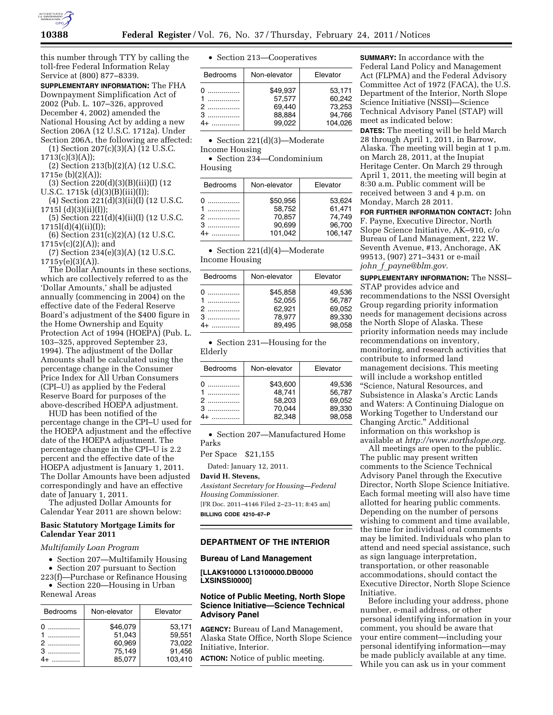

this number through TTY by calling the toll-free Federal Information Relay Service at (800) 877–8339.

**SUPPLEMENTARY INFORMATION:** The FHA Downpayment Simplification Act of 2002 (Pub. L. 107–326, approved December 4, 2002) amended the National Housing Act by adding a new Section 206A (12 U.S.C. 1712a). Under Section 206A, the following are affected:

(1) Section 207(c)(3)(A) (12 U.S.C.  $1713(c)(3)(A));$ 

- (2) Section 213(b)(2)(A) (12 U.S.C. 1715e (b)(2)(A));
- (3) Section 220(d)(3)(B)(iii)(I) (12 U.S.C. 1715k (d)(3)(B)(iii)(I));
- (4) Section 221(d)(3)(ii)(I) (12 U.S.C. 1715l (d)(3)(ii)(I));
- (5) Section 221(d)(4)(ii)(I) (12 U.S.C.  $1715l(d)(4)(ii)(I));$

(6) Section 231(c)(2)(A) (12 U.S.C.  $1715v(c)(2)(A)$ ; and

(7) Section 234(e)(3)(A) (12 U.S.C.  $1715y(e)(3)(A)$ .

The Dollar Amounts in these sections, which are collectively referred to as the 'Dollar Amounts,' shall be adjusted annually (commencing in 2004) on the effective date of the Federal Reserve Board's adjustment of the \$400 figure in the Home Ownership and Equity Protection Act of 1994 (HOEPA) (Pub. L. 103–325, approved September 23, 1994). The adjustment of the Dollar Amounts shall be calculated using the percentage change in the Consumer Price Index for All Urban Consumers (CPI–U) as applied by the Federal Reserve Board for purposes of the above-described HOEPA adjustment.

HUD has been notified of the percentage change in the CPI–U used for the HOEPA adjustment and the effective date of the HOEPA adjustment. The percentage change in the CPI–U is 2.2 percent and the effective date of the HOEPA adjustment is January 1, 2011. The Dollar Amounts have been adjusted correspondingly and have an effective date of January 1, 2011.

The adjusted Dollar Amounts for Calendar Year 2011 are shown below:

### **Basic Statutory Mortgage Limits for Calendar Year 2011**

*Multifamily Loan Program* 

- Section 207—Multifamily Housing
- Section 207 pursuant to Section

223(f)—Purchase or Refinance Housing • Section 220—Housing in Urban Renewal Areas

| Bedrooms                      | Non-elevator                                     | Elevator                                        |  |
|-------------------------------|--------------------------------------------------|-------------------------------------------------|--|
| .<br>.<br>. <b>. <b>.</b></b> | \$46,079<br>51.043<br>60.969<br>75.149<br>85.077 | 53,171<br>59.551<br>73.022<br>91.456<br>103.410 |  |

|  |  |  |  | • Section 213-Cooperatives |
|--|--|--|--|----------------------------|
|--|--|--|--|----------------------------|

| <b>Bedrooms</b> | Non-elevator | Elevator |
|-----------------|--------------|----------|
| .               | \$49.937     | 53,171   |
|                 | 57.577       | 60.242   |
| $2$             | 69,440       | 73,253   |
|                 | 88,884       | 94,766   |
|                 | 99,022       | 104.026  |

• Section 221(d)(3)—Moderate Income Housing

• Section 234—Condominium Housing

| <b>Bedrooms</b> | Non-elevator                                      | Elevator                                        |  |
|-----------------|---------------------------------------------------|-------------------------------------------------|--|
| .<br>2          | \$50.956<br>58,752<br>70,857<br>90,699<br>101,042 | 53.624<br>61.471<br>74.749<br>96,700<br>106.147 |  |
|                 |                                                   |                                                 |  |

|                | • Section $221(d)(4)$ —Moderate |  |
|----------------|---------------------------------|--|
| Income Housing |                                 |  |

| <b>Bedrooms</b>          | Non-elevator | Elevator |  |
|--------------------------|--------------|----------|--|
| .                        | \$45,858     | 49.536   |  |
| .                        | 52.055       | 56,787   |  |
|                          | 62,921       | 69.052   |  |
|                          | 78,977       | 89,330   |  |
| $\overline{\phantom{a}}$ | 89.495       | 98.058   |  |

|         | • Section 231—Housing for the |  |  |
|---------|-------------------------------|--|--|
| Elderly |                               |  |  |

| <b>Bedrooms</b> | Non-elevator                                     | Elevator                                       |  |
|-----------------|--------------------------------------------------|------------------------------------------------|--|
| .<br>2<br>.     | \$43,600<br>48.741<br>58,203<br>70.044<br>82.348 | 49.536<br>56,787<br>69.052<br>89.330<br>98.058 |  |

• Section 207—Manufactured Home Parks

Per Space \$21,155

Dated: January 12, 2011.

## **David H. Stevens,**

*Assistant Secretary for Housing—Federal Housing Commissioner.*  [FR Doc. 2011–4146 Filed 2–23–11; 8:45 am] **BILLING CODE 4210–67–P** 

#### **DEPARTMENT OF THE INTERIOR**

#### **Bureau of Land Management**

**[LLAK910000 L13100000.DB0000 LXSINSSI0000]** 

## **Notice of Public Meeting, North Slope Science Initiative—Science Technical Advisory Panel**

**AGENCY:** Bureau of Land Management, Alaska State Office, North Slope Science Initiative, Interior.

**ACTION:** Notice of public meeting.

**SUMMARY:** In accordance with the Federal Land Policy and Management Act (FLPMA) and the Federal Advisory Committee Act of 1972 (FACA), the U.S. Department of the Interior, North Slope Science Initiative (NSSI)—Science Technical Advisory Panel (STAP) will meet as indicated below:

**DATES:** The meeting will be held March 28 through April 1, 2011, in Barrow, Alaska. The meeting will begin at 1 p.m. on March 28, 2011, at the Inupiat Heritage Center. On March 29 through April 1, 2011, the meeting will begin at 8:30 a.m. Public comment will be received between 3 and 4 p.m. on Monday, March 28 2011.

**FOR FURTHER INFORMATION CONTACT:** John F. Payne, Executive Director, North Slope Science Initiative, AK–910, c/o Bureau of Land Management, 222 W. Seventh Avenue, #13, Anchorage, AK 99513, (907) 271–3431 or e-mail *john*\_*f*\_*[payne@blm.gov.](mailto:john_f_payne@blm.gov)* 

**SUPPLEMENTARY INFORMATION:** The NSSI– STAP provides advice and recommendations to the NSSI Oversight Group regarding priority information needs for management decisions across the North Slope of Alaska. These priority information needs may include recommendations on inventory, monitoring, and research activities that contribute to informed land management decisions. This meeting will include a workshop entitled ''Science, Natural Resources, and Subsistence in Alaska's Arctic Lands and Waters: A Continuing Dialogue on Working Together to Understand our Changing Arctic.'' Additional information on this workshop is available at *[http://www.northslope.org.](http://www.northslope.org)* 

All meetings are open to the public. The public may present written comments to the Science Technical Advisory Panel through the Executive Director, North Slope Science Initiative. Each formal meeting will also have time allotted for hearing public comments. Depending on the number of persons wishing to comment and time available, the time for individual oral comments may be limited. Individuals who plan to attend and need special assistance, such as sign language interpretation, transportation, or other reasonable accommodations, should contact the Executive Director, North Slope Science Initiative.

Before including your address, phone number, e-mail address, or other personal identifying information in your comment, you should be aware that your entire comment—including your personal identifying information—may be made publicly available at any time. While you can ask us in your comment